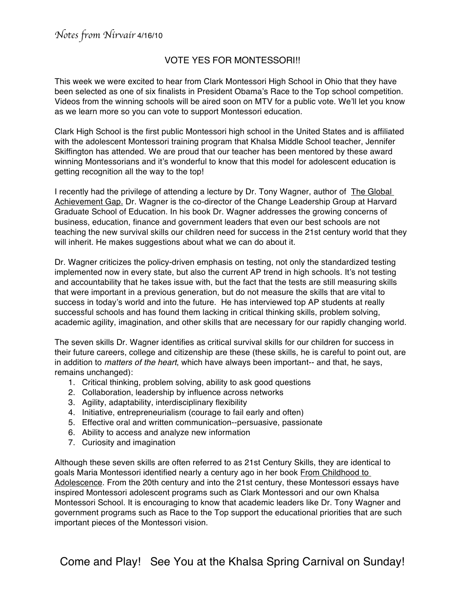## VOTE YES FOR MONTESSORI!!

This week we were excited to hear from Clark Montessori High School in Ohio that they have been selected as one of six finalists in President Obama's Race to the Top school competition. Videos from the winning schools will be aired soon on MTV for a public vote. We'll let you know as we learn more so you can vote to support Montessori education.

Clark High School is the first public Montessori high school in the United States and is affiliated with the adolescent Montessori training program that Khalsa Middle School teacher, Jennifer Skiffington has attended. We are proud that our teacher has been mentored by these award winning Montessorians and it's wonderful to know that this model for adolescent education is getting recognition all the way to the top!

I recently had the privilege of attending a lecture by Dr. Tony Wagner, author of The Global Achievement Gap. Dr. Wagner is the co-director of the Change Leadership Group at Harvard Graduate School of Education. In his book Dr. Wagner addresses the growing concerns of business, education, finance and government leaders that even our best schools are not teaching the new survival skills our children need for success in the 21st century world that they will inherit. He makes suggestions about what we can do about it.

Dr. Wagner criticizes the policy-driven emphasis on testing, not only the standardized testing implemented now in every state, but also the current AP trend in high schools. It's not testing and accountability that he takes issue with, but the fact that the tests are still measuring skills that were important in a previous generation, but do not measure the skills that are vital to success in today's world and into the future. He has interviewed top AP students at really successful schools and has found them lacking in critical thinking skills, problem solving, academic agility, imagination, and other skills that are necessary for our rapidly changing world.

The seven skills Dr. Wagner identifies as critical survival skills for our children for success in their future careers, college and citizenship are these (these skills, he is careful to point out, are in addition to *matters of the heart*, which have always been important-- and that, he says, remains unchanged):

- 1. Critical thinking, problem solving, ability to ask good questions
- 2. Collaboration, leadership by influence across networks
- 3. Agility, adaptability, interdisciplinary flexibility
- 4. Initiative, entrepreneurialism (courage to fail early and often)
- 5. Effective oral and written communication--persuasive, passionate
- 6. Ability to access and analyze new information
- 7. Curiosity and imagination

Although these seven skills are often referred to as 21st Century Skills, they are identical to goals Maria Montessori identified nearly a century ago in her book From Childhood to Adolescence. From the 20th century and into the 21st century, these Montessori essays have inspired Montessori adolescent programs such as Clark Montessori and our own Khalsa Montessori School. It is encouraging to know that academic leaders like Dr. Tony Wagner and government programs such as Race to the Top support the educational priorities that are such important pieces of the Montessori vision.